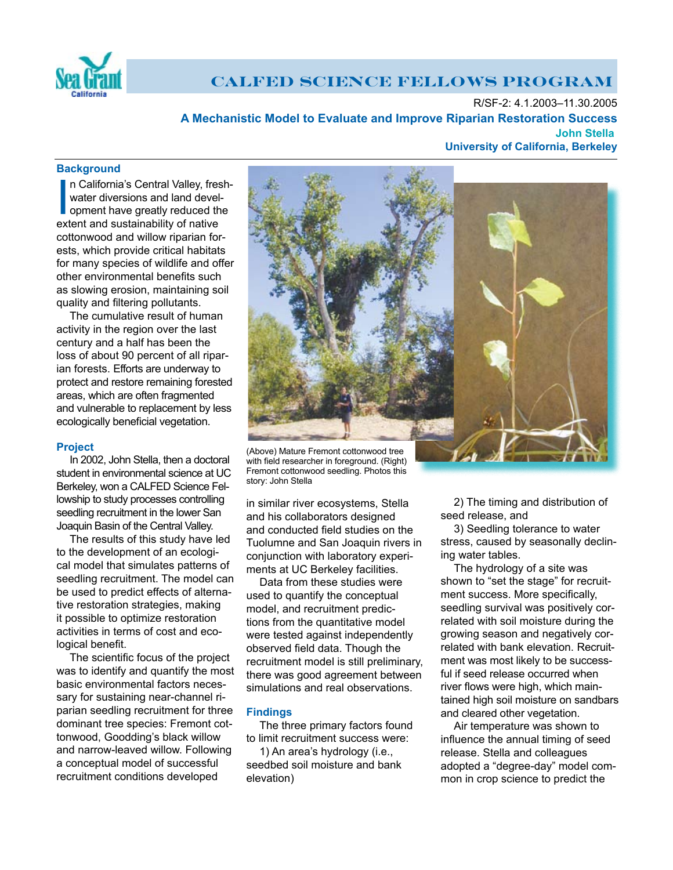

# **CALFED SCIENCE FELLOWS PROGRAM**

R/SF-2: 4.1.2003–11.30.2005  **A Mechanistic Model to Evaluate and Improve Riparian Restoration Success John University of California, Berkeley**

# **Background**

In California's Central Valley, fre<br>
water diversions and land deve<br>
opment have greatly reduced the<br>
extent and sustainability of native n California's Central Valley, freshwater diversions and land development have greatly reduced the cottonwood and willow riparian forests, which provide critical habitats for many species of wildlife and offer other environmental benefits such as slowing erosion, maintaining soil quality and filtering pollutants.

The cumulative result of human activity in the region over the last century and a half has been the loss of about 90 percent of all riparian forests. Efforts are underway to protect and restore remaining forested areas, which are often fragmented and vulnerable to replacement by less ecologically beneficial vegetation.

### **Project**

In 2002, John Stella, then a doctoral student in environmental science at UC Berkeley, won a CALFED Science Fellowship to study processes controlling seedling recruitment in the lower San Joaquin Basin of the Central Valley.

The results of this study have led to the development of an ecological model that simulates patterns of seedling recruitment. The model can be used to predict effects of alternative restoration strategies, making it possible to optimize restoration activities in terms of cost and ecological benefit.

The scientific focus of the project was to identify and quantify the most basic environmental factors necessary for sustaining near-channel riparian seedling recruitment for three dominant tree species: Fremont cottonwood, Goodding's black willow and narrow-leaved willow. Following a conceptual model of successful recruitment conditions developed



with field researcher in foreground. (Right) Fremont cottonwood seedling. Photos this story: John Stella

in similar river ecosystems, Stella and his collaborators designed and conducted field studies on the Tuolumne and San Joaquin rivers in conjunction with laboratory experiments at UC Berkeley facilities.

Data from these studies were used to quantify the conceptual model, and recruitment predictions from the quantitative model were tested against independently observed field data. Though the recruitment model is still preliminary, there was good agreement between simulations and real observations.

# **Findings**

The three primary factors found to limit recruitment success were:

1) An area's hydrology (i.e., seedbed soil moisture and bank elevation)

2) The timing and distribution of seed release, and

3) Seedling tolerance to water stress, caused by seasonally declining water tables.

The hydrology of a site was shown to "set the stage" for recruitment success. More specifically, seedling survival was positively correlated with soil moisture during the growing season and negatively correlated with bank elevation. Recruitment was most likely to be successful if seed release occurred when river flows were high, which maintained high soil moisture on sandbars and cleared other vegetation.

Air temperature was shown to influence the annual timing of seed release. Stella and colleagues adopted a "degree-day" model common in crop science to predict the